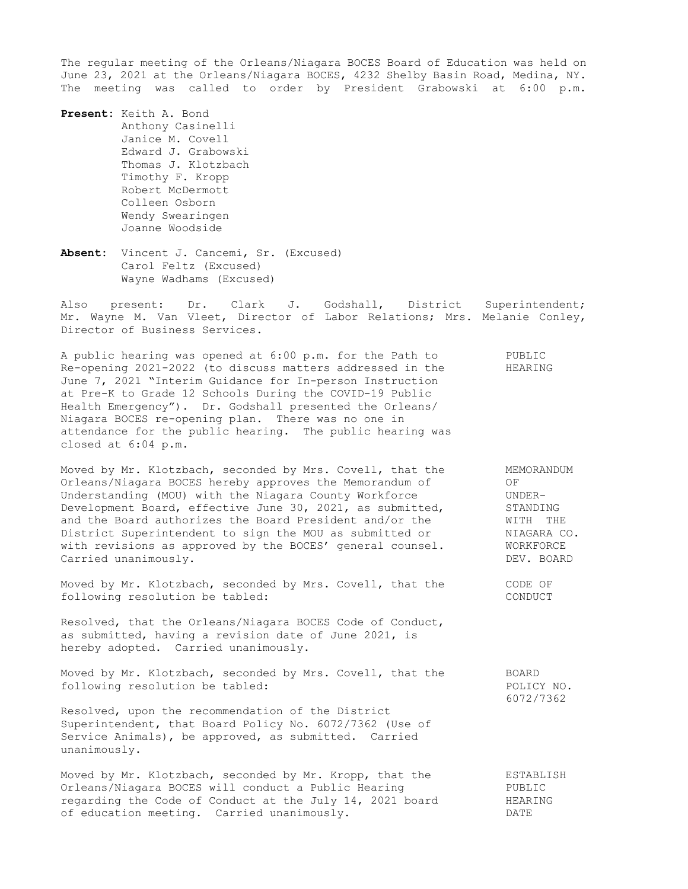The regular meeting of the Orleans/Niagara BOCES Board of Education was held on June 23, 2021 at the Orleans/Niagara BOCES, 4232 Shelby Basin Road, Medina, NY. The meeting was called to order by President Grabowski at 6:00 p.m.

**Present:** Keith A. Bond Anthony Casinelli Janice M. Covell Edward J. Grabowski Thomas J. Klotzbach Timothy F. Kropp Robert McDermott Colleen Osborn Wendy Swearingen Joanne Woodside

**Absent:** Vincent J. Cancemi, Sr. (Excused) Carol Feltz (Excused) Wayne Wadhams (Excused)

Also present: Dr. Clark J. Godshall, District Superintendent; Mr. Wayne M. Van Vleet, Director of Labor Relations; Mrs. Melanie Conley, Director of Business Services.

A public hearing was opened at 6:00 p.m. for the Path to PUBLIC A public hearing was opened at 6:00 p.m. for the Path to FUBLIC<br>Re-opening 2021-2022 (to discuss matters addressed in the HEARING June 7, 2021 "Interim Guidance for In-person Instruction at Pre-K to Grade 12 Schools During the COVID-19 Public Health Emergency"). Dr. Godshall presented the Orleans/ Niagara BOCES re-opening plan. There was no one in attendance for the public hearing. The public hearing was closed at 6:04 p.m.

Moved by Mr. Klotzbach, seconded by Mrs. Covell, that the MEMORANDUM Orleans/Niagara BOCES hereby approves the Memorandum of OF Understanding (MOU) with the Niagara County Workforce WINDER-Development Board, effective June 30, 2021, as submitted,  $S$ TANDING and the Board authorizes the Board President and/or the  $N$ ITH THE and the Board authorizes the Board President and/or the District Superintendent to sign the MOU as submitted or MIAGARA CO.<br>with revisions as approved by the BOCES' general counsel. WORKFORCE with revisions as approved by the BOCES' general counsel. Carried unanimously. The contract of the contract of the contract of the contract of the DEV. BOARD

Moved by Mr. Klotzbach, seconded by Mrs. Covell, that the CODE OF following resolution be tabled: The conduction of the conduction of  $\sim$  CONDUCT

Resolved, that the Orleans/Niagara BOCES Code of Conduct, as submitted, having a revision date of June 2021, is hereby adopted. Carried unanimously.

Moved by Mr. Klotzbach, seconded by Mrs. Covell, that the BOARD following resolution be tabled: POLICY NO.

Resolved, upon the recommendation of the District Superintendent, that Board Policy No. 6072/7362 (Use of Service Animals), be approved, as submitted. Carried unanimously.

Moved by Mr. Klotzbach, seconded by Mr. Kropp, that the ESTABLISH<br>Orleans/Niagara BOCES will conduct a Public Hearing PUBLIC<br>regarding the Code of Conduct is the conduct of Conduct of Conduct is the code of Conduct of Cond Orleans/Niagara BOCES will conduct a Public Hearing PUBLIC regarding the Code of Conduct at the July 14, 2021 board HEARING of education meeting. Carried unanimously. DATE

6072/7362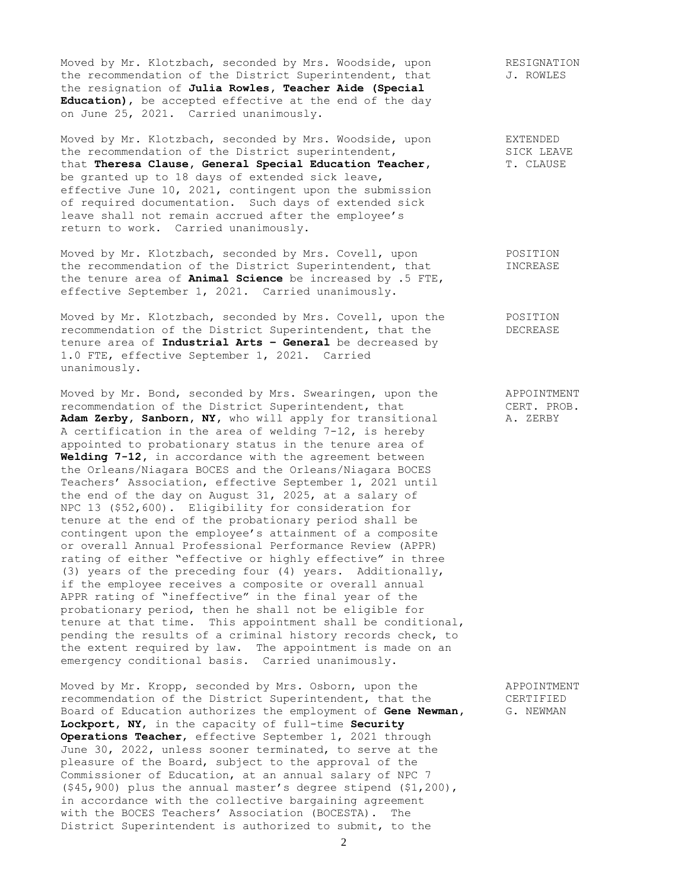Moved by Mr. Klotzbach, seconded by Mrs. Woodside, upon RESIGNATION the recommendation of the District Superintendent, that  $J.$  ROWLES the resignation of **Julia Rowles, Teacher Aide (Special Education)**, be accepted effective at the end of the day on June 25, 2021. Carried unanimously.

Moved by Mr. Klotzbach, seconded by Mrs. Woodside, upon EXTENDED the recommendation of the District superintendent, SICK LEAVE that **Theresa Clause, General Special Education Teacher,** T. CLAUSE be granted up to 18 days of extended sick leave, effective June 10, 2021, contingent upon the submission of required documentation. Such days of extended sick leave shall not remain accrued after the employee's return to work. Carried unanimously.

Moved by Mr. Klotzbach, seconded by Mrs. Covell, upon POSITION the recommendation of the District Superintendent, that INCREASE the tenure area of **Animal Science** be increased by .5 FTE, effective September 1, 2021. Carried unanimously.

Moved by Mr. Klotzbach, seconded by Mrs. Covell, upon the POSITION recommendation of the District Superintendent, that the DECREASE tenure area of **Industrial Arts – General** be decreased by 1.0 FTE, effective September 1, 2021. Carried unanimously.

Moved by Mr. Bond, seconded by Mrs. Swearingen, upon the APPOINTMENT recommendation of the District Superintendent, that CERT. PROB. Adam Zerby, Sanborn, NY, who will apply for transitional A. ZERBY A certification in the area of welding 7-12, is hereby appointed to probationary status in the tenure area of **Welding 7-12,** in accordance with the agreement between the Orleans/Niagara BOCES and the Orleans/Niagara BOCES Teachers' Association, effective September 1, 2021 until the end of the day on August 31, 2025, at a salary of NPC 13 (\$52,600). Eligibility for consideration for tenure at the end of the probationary period shall be contingent upon the employee's attainment of a composite or overall Annual Professional Performance Review (APPR) rating of either "effective or highly effective" in three (3) years of the preceding four (4) years. Additionally, if the employee receives a composite or overall annual APPR rating of "ineffective" in the final year of the probationary period, then he shall not be eligible for tenure at that time. This appointment shall be conditional, pending the results of a criminal history records check, to the extent required by law. The appointment is made on an emergency conditional basis. Carried unanimously.

Moved by Mr. Kropp, seconded by Mrs. Osborn, upon the APPOINTMENT recommendation of the District Superintendent, that the CERTIFIED Board of Education authorizes the employment of **Gene Newman,** G. NEWMAN **Lockport, NY**, in the capacity of full-time **Security Operations Teacher**, effective September 1, 2021 through June 30, 2022, unless sooner terminated, to serve at the pleasure of the Board, subject to the approval of the Commissioner of Education, at an annual salary of NPC 7  $(545,900)$  plus the annual master's degree stipend  $(51,200)$ , in accordance with the collective bargaining agreement with the BOCES Teachers' Association (BOCESTA). The District Superintendent is authorized to submit, to the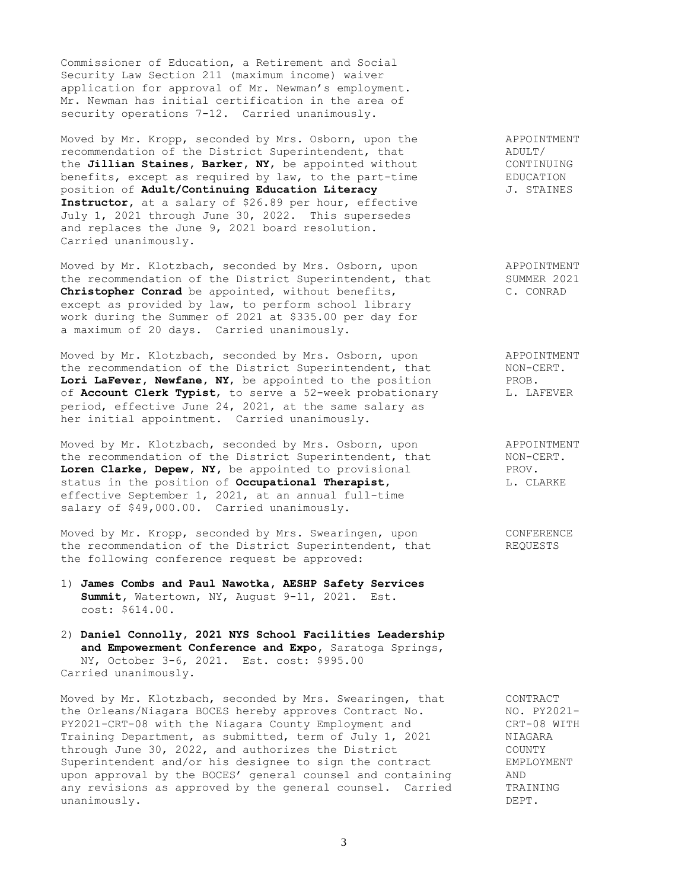Commissioner of Education, a Retirement and Social Security Law Section 211 (maximum income) waiver application for approval of Mr. Newman's employment. Mr. Newman has initial certification in the area of security operations 7-12. Carried unanimously.

Moved by Mr. Kropp, seconded by Mrs. Osborn, upon the APPOINTMENT recommendation of the District Superintendent, that ADULT/ the Jillian Staines, Barker, NY, be appointed without CONTINUING benefits, except as required by law, to the part-time EDUCATION benefits, except as required by law, to the part-time **EDUCATION**<br>position of **Adult/Continuing Education Literacy** J. STAINES **Instructor,** at a salary of \$26.89 per hour, effective July 1, 2021 through June 30, 2022. This supersedes and replaces the June 9, 2021 board resolution. Carried unanimously.

Moved by Mr. Klotzbach, seconded by Mrs. Osborn, upon APPOINTMENT the recommendation of the District Superintendent, that SUMMER 2021 Moved by Mr. Klotzbach, seconded by Mrs. Osborn, upon a PPOINTMENT<br>
the recommendation of the District Superintendent, that SUMMER 2021<br> **Christopher Conrad** be appointed, without benefits, C. CONRAD except as provided by law, to perform school library work during the Summer of 2021 at \$335.00 per day for a maximum of 20 days. Carried unanimously.

Moved by Mr. Klotzbach, seconded by Mrs. Osborn, upon APPOINTMENT the recommendation of the District Superintendent, that MON-CERT. **Lori LaFever, Newfane, NY**, be appointed to the position PROB. of **Account Clerk Typist**, to serve a 52-week probationary L. LAFEVER period, effective June 24, 2021, at the same salary as her initial appointment. Carried unanimously.

Moved by Mr. Klotzbach, seconded by Mrs. Osborn, upon APPOINTMENT the recommendation of the District Superintendent, that MON-CERT. Loren Clarke, Depew, NY, be appointed to provisional PROV. status in the position of **Occupational Therapist**, **L. CLARKE** effective September 1, 2021, at an annual full-time salary of \$49,000.00. Carried unanimously.

Moved by Mr. Kropp, seconded by Mrs. Swearingen, upon CONFERENCE the recommendation of the District Superintendent, that REQUESTS the following conference request be approved:

- 1) **James Combs and Paul Nawotka, AESHP Safety Services Summit,** Watertown, NY, August 9-11, 2021. Est. cost: \$614.00.
- 2) **Daniel Connolly, 2021 NYS School Facilities Leadership and Empowerment Conference and Expo,** Saratoga Springs, NY, October 3-6, 2021. Est. cost: \$995.00 Carried unanimously.

Moved by Mr. Klotzbach, seconded by Mrs. Swearingen, that CONTRACT<br>the Orleans/Niagara BOCES hereby approves Contract No. (500) NO. PY2021the Orleans/Niagara BOCES hereby approves Contract No. (1990) NO. PY2021-<br>PY2021-CRT-08 with the Niagara County Employment and (1997-08 WITH PY2021-CRT-08 with the Niagara County Employment and CRT-08 WITH Training Department, as submitted, term of July 1, 2021 WIAGARA Training Department, as submitted, term of July 1, 2021 NIAGARA through June 30, 2022, and authorizes the District COUNTY Superintendent and/or his designee to sign the contract EMPLOYMENT upon approval by the BOCES' general counsel and containing AND any revisions as approved by the general counsel. Carried TRAINING unanimously. Department of the contract of the contract of the contract of the contract of the contract of the contract of the contract of the contract of the contract of the contract of the contract of the contract of the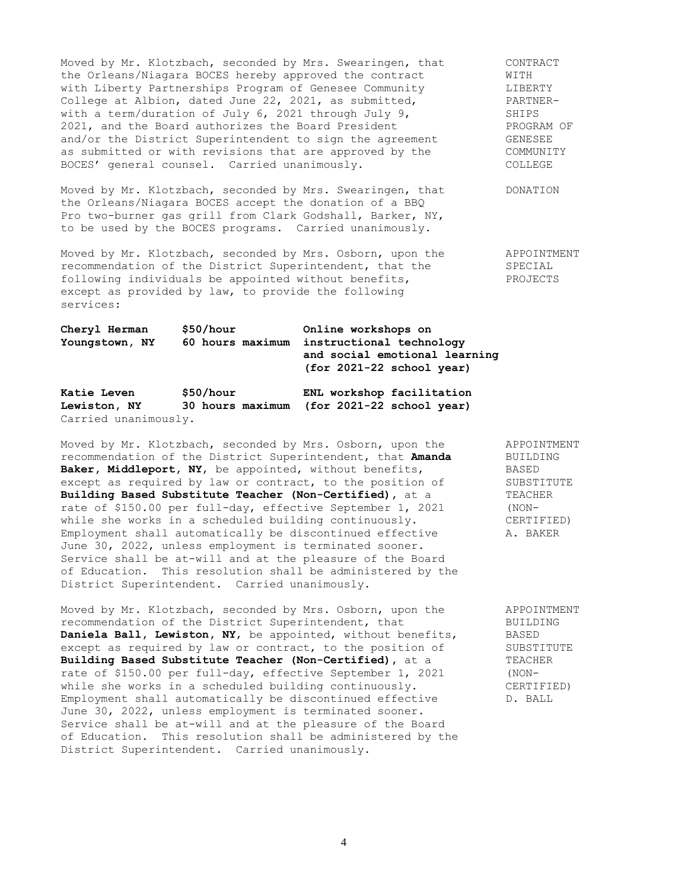Moved by Mr. Klotzbach, seconded by Mrs. Swearingen, that CONTRACT<br>the Orleans/Niagara BOCES hereby approved the contract WITH the Orleans/Niagara BOCES hereby approved the contract WITH<br>with Liberty Partnerships Program of Genesee Community<br>College at Albion, dated June 22, 2021, as submitted, The PARTNERwith Liberty Partnerships Program of Genesee Community College at Albion, dated June 22, 2021, as submitted,<br>with a term/duration of July 6, 2021 through July 9, SHIPS with a term/duration of July 6, 2021 through July 9, SHIPS<br>2021, and the Board authorizes the Board President The Struck PROGRAM OF 2021, and the Board authorizes the Board President and/or the District Superintendent to sign the agreement GENESEE as submitted or with revisions that are approved by the COMMUNITY BOCES' general counsel. Carried unanimously. The collegence of the collegence of the collegence of the collegence of the collegence of the collegence of the collegence of the collegence of the collegence of the collegence

Moved by Mr. Klotzbach, seconded by Mrs. Swearingen, that DONATION the Orleans/Niagara BOCES accept the donation of a BBQ Pro two-burner gas grill from Clark Godshall, Barker, NY, to be used by the BOCES programs. Carried unanimously.

Moved by Mr. Klotzbach, seconded by Mrs. Osborn, upon the APPOINTMENT<br>recommendation of the District Superintendent, that the SPECIAL recommendation of the District Superintendent, that the following individuals be appointed without benefits, PROJECTS except as provided by law, to provide the following services:

**Cheryl Herman \$50/hour Online workshops on Youngstown, NY 60 hours maximum instructional technology and social emotional learning (for 2021-22 school year) Katie Leven \$50/hour ENL workshop facilitation Lewiston, NY 30 hours maximum (for 2021-22 school year)** Carried unanimously.

Moved by Mr. Klotzbach, seconded by Mrs. Osborn, upon the APPOINTMENT recommendation of the District Superintendent, that **Amanda** BUILDING recommendation of the District Superintendent, that **Amanda** BUILDI<br> **Baker, Middleport, NY,** be appointed, without benefits, BASED Baker, Middleport, NY, be appointed, without benefits, except as required by law or contract, to the position of SUBSTITUTE **Building Based Substitute Teacher (Non-Certified),** at a TEACHER rate of \$150.00 per full-day, effective September 1, 2021 (NONwhile she works in a scheduled building continuously. CERTIFIED) Employment shall automatically be discontinued effective A. BAKER June 30, 2022, unless employment is terminated sooner. Service shall be at-will and at the pleasure of the Board of Education. This resolution shall be administered by the District Superintendent. Carried unanimously.

Moved by Mr. Klotzbach, seconded by Mrs. Osborn, upon the APPOINTMENT recommendation of the District Superintendent, that BUILDING **Daniela Ball, Lewiston, NY,** be appointed, without benefits, BASED except as required by law or contract, to the position of SUBSTITUTE **Building Based Substitute Teacher (Non-Certified),** at a TEACHER rate of \$150.00 per full-day, effective September 1, 2021 (NONwhile she works in a scheduled building continuously. CERTIFIED)<br>Employment shall automatically be discontinued effective D. BALL Employment shall automatically be discontinued effective June 30, 2022, unless employment is terminated sooner. Service shall be at-will and at the pleasure of the Board of Education. This resolution shall be administered by the District Superintendent. Carried unanimously.